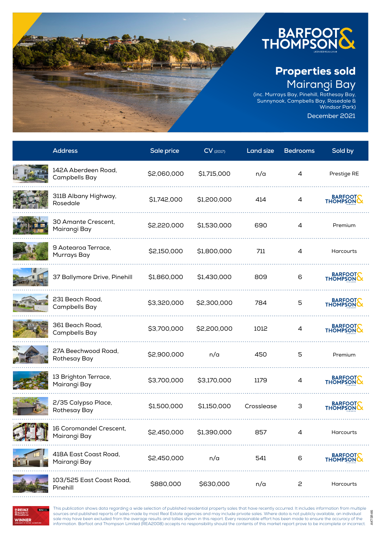

(inc. Murrays Bay, Pinehill, Rothesay Bay, Sunnynook, Campbells Bay, Rosedale & Windsor Park)

December 2021

AKTSR46

AKTSR46

| <b>Address</b>                          | Sale price  | $CV$ (2017) | Land size  | <b>Bedrooms</b> | Sold by              |
|-----------------------------------------|-------------|-------------|------------|-----------------|----------------------|
| 142A Aberdeen Road,<br>Campbells Bay    | \$2,060,000 | \$1,715,000 | n/a        | 4               | Prestige RE          |
| 311B Albany Highway,<br>Rosedale        | \$1,742,000 | \$1,200,000 | 414        | 4               | BARFOOT              |
| 30 Amante Crescent,<br>Mairangi Bay     | \$2,220,000 | \$1,530,000 | 690        | 4               | Premium              |
| 9 Aotearoa Terrace,<br>Murrays Bay      | \$2,150,000 | \$1,800,000 | 711        | 4               | Harcourts            |
| 37 Ballymore Drive, Pinehill            | \$1,860,000 | \$1,430,000 | 809        | 6               | BARFOOT              |
| 231 Beach Road,<br>Campbells Bay        | \$3,320,000 | \$2,300,000 | 784        | 5               | BARFOOT              |
| 361 Beach Road,<br>Campbells Bay        | \$3,700,000 | \$2,200,000 | 1012       | 4               | BARFOOT              |
| 27A Beechwood Road,<br>Rothesay Bay     | \$2,900,000 | n/a         | 450        | 5               | Premium              |
| 13 Brighton Terrace,<br>Mairangi Bay    | \$3,700,000 | \$3,170,000 | 1179       | 4               | BARFOOT              |
| 2/35 Calypso Place,<br>Rothesay Bay     | \$1,500,000 | \$1,150,000 | Crosslease | З               | BARFOOT              |
| 16 Coromandel Crescent,<br>Mairangi Bay | \$2,450,000 | \$1,390,000 | 857        |                 | Harcourts            |
| 418A East Coast Road,<br>Mairangi Bay   | \$2,450,000 | n/a         | 541        | 6               | BARFOOTS<br>THOMPSON |
| 103/525 East Coast Road,<br>Pinehill    | \$880,000   | \$630,000   | n/a        | 2               | Harcourts            |

**REINZ REINZ WINNER** 

This publication shows data regarding a wide selection of published residential property sales that have recently occurred. It includes information from multiple sources and published reports of sales made by most Real Estate agencies and may include private sales. Where data is not publicly available, an individual sale may have been excluded from the average results and tallies shown in this report. Every reasonable effort has been made to ensure the accuracy of the information. Barfoot and Thompson Limited (REA2008) accepts no responsibility should the contents of this market report prove to be incomplete or incorrect.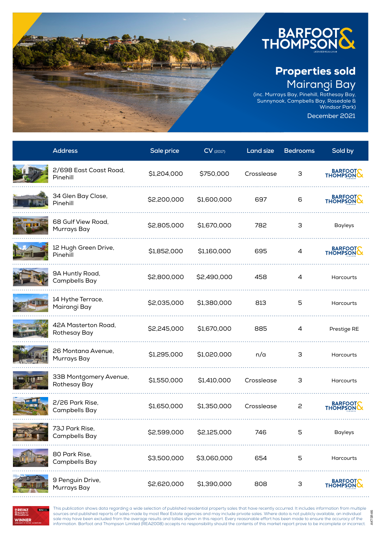

(inc. Murrays Bay, Pinehill, Rothesay Bay, Sunnynook, Campbells Bay, Rosedale & Windsor Park)

December 2021

AKTSR46

AKTSR46

| <b>Address</b>                         | Sale price  | $CV$ (2017) | <b>Land size</b> | <b>Bedrooms</b> | Sold by             |
|----------------------------------------|-------------|-------------|------------------|-----------------|---------------------|
| 2/698 East Coast Road,<br>Pinehill     | \$1,204,000 | \$750,000   | Crosslease       | 3               | BARFOOT             |
| 34 Glen Bay Close,<br>Pinehill         | \$2,200,000 | \$1,600,000 | 697              | 6               | BARFOOT             |
| 68 Gulf View Road,<br>Murrays Bay      | \$2,805,000 | \$1,670,000 | 782              | 3               | <b>Bayleys</b>      |
| 12 Hugh Green Drive,<br>Pinehill       | \$1,852,000 | \$1,160,000 | 695              | 4               | BARFOOT             |
| 9A Huntly Road,<br>Campbells Bay       | \$2,800,000 | \$2,490,000 | 458              | 4               | Harcourts           |
| 14 Hythe Terrace,<br>Mairangi Bay      | \$2,035,000 | \$1,380,000 | 813              | 5               | Harcourts           |
| 42A Masterton Road,<br>Rothesay Bay    | \$2,245,000 | \$1,670,000 | 885              | 4               | Prestige RE         |
| 26 Montana Avenue,<br>Murrays Bay      | \$1,295,000 | \$1,020,000 | n/a              | 3               | Harcourts           |
| 33B Montgomery Avenue,<br>Rothesay Bay | \$1,550,000 | \$1,410,000 | Crosslease       | З               | Harcourts           |
| 2/26 Park Rise,<br>Campbells Bay       | \$1,650,000 | \$1,350,000 | Crosslease       | 2               | BARFOOT             |
| 73J Park Rise,<br>Campbells Bay        | \$2,599,000 | \$2,125,000 | 746              | 5               | <b>Bayleys</b>      |
| 80 Park Rise,<br>Campbells Bay         | \$3,500,000 | \$3,060,000 | 654              | 5               | Harcourts           |
| 9 Penguin Drive,<br>Murrays Bay        | \$2,620,000 | \$1,390,000 | 808              | 3               | BARFOOT<br>THOMPSON |



**WINNER** 

This publication shows data regarding a wide selection of published residential property sales that have recently occurred. It includes information from multiple sources and published reports of sales made by most Real Estate agencies and may include private sales. Where data is not publicly available, an individual sale may have been excluded from the average results and tallies shown in this report. Every reasonable effort has been made to ensure the accuracy of the information. Barfoot and Thompson Limited (REA2008) accepts no responsibility should the contents of this market report prove to be incomplete or incorrect.

. . . . . . . . . . . . . .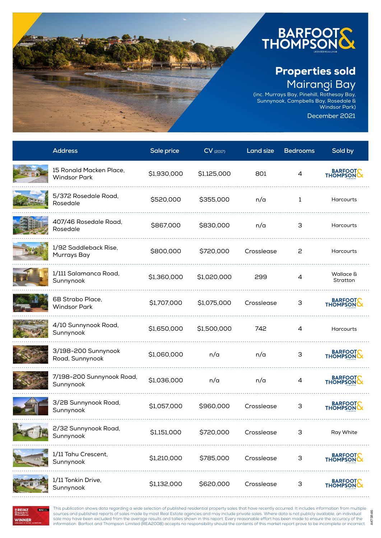

(inc. Murrays Bay, Pinehill, Rothesay Bay, Sunnynook, Campbells Bay, Rosedale & Windsor Park)

December 2021

AKTSR46

AKTSR46

| <b>Address</b>                                 | Sale price  | $CV$ (2017) | Land size  | <b>Bedrooms</b> | Sold by               |
|------------------------------------------------|-------------|-------------|------------|-----------------|-----------------------|
| 15 Ronald Macken Place,<br><b>Windsor Park</b> | \$1,930,000 | \$1,125,000 | 801        | 4               | BARFOOT               |
| 5/372 Rosedale Road,<br>Rosedale               | \$520,000   | \$355,000   | n/a        | $\mathbf{1}$    | <b>Harcourts</b>      |
| 407/46 Rosedale Road,<br>Rosedale              | \$867,000   | \$830,000   | n/a        | 3               | <b>Harcourts</b>      |
| 1/92 Saddleback Rise,<br>Murrays Bay           | \$800,000   | \$720,000   | Crosslease | 2               | <b>Harcourts</b>      |
| 1/111 Salamanca Road,<br>Sunnynook             | \$1,360,000 | \$1,020,000 | 299        | 4               | Wallace &<br>Stratton |
| 6B Strabo Place,<br><b>Windsor Park</b>        | \$1,707,000 | \$1,075,000 | Crosslease | 3               | BARFOOT               |
| 4/10 Sunnynook Road,<br>Sunnynook              | \$1,650,000 | \$1,500,000 | 742        | 4               | Harcourts             |
| 3/198-200 Sunnynook<br>Road, Sunnynook         | \$1,060,000 | n/a         | n/a        | 3               | BARFOOTS              |
| 7/198-200 Sunnynook Road,<br>Sunnynook         | \$1,036,000 | n/a         | n/a        | 4               | BARFOOT               |
| 3/2B Sunnynook Road,<br>Sunnynook              | \$1,057,000 | \$960,000   | Crosslease | 3               | BARFOOT               |
| 2/32 Sunnynook Road,<br>Sunnynook              | \$1,151,000 | \$720,000   | Crossiease |                 | Ray White             |
| 1/11 Tahu Crescent,<br>Sunnynook               | \$1,210,000 | \$785,000   | Crosslease | 3               | BARFOOT<br>THOMPSON   |
| 1/11 Tonkin Drive,<br>Sunnynook                | \$1,132,000 | \$620,000   | Crosslease | 3               | BARFOOT<br>THOMPSON   |



This publication shows data regarding a wide selection of published residential property sales that have recently occurred. It includes information from multiple sources and published reports of sales made by most Real Estate agencies and may include private sales. Where data is not publicly available, an individual sale may have been excluded from the average results and tallies shown in this report. Every reasonable effort has been made to ensure the accuracy of the information. Barfoot and Thompson Limited (REA2008) accepts no responsibility should the contents of this market report prove to be incomplete or incorrect.